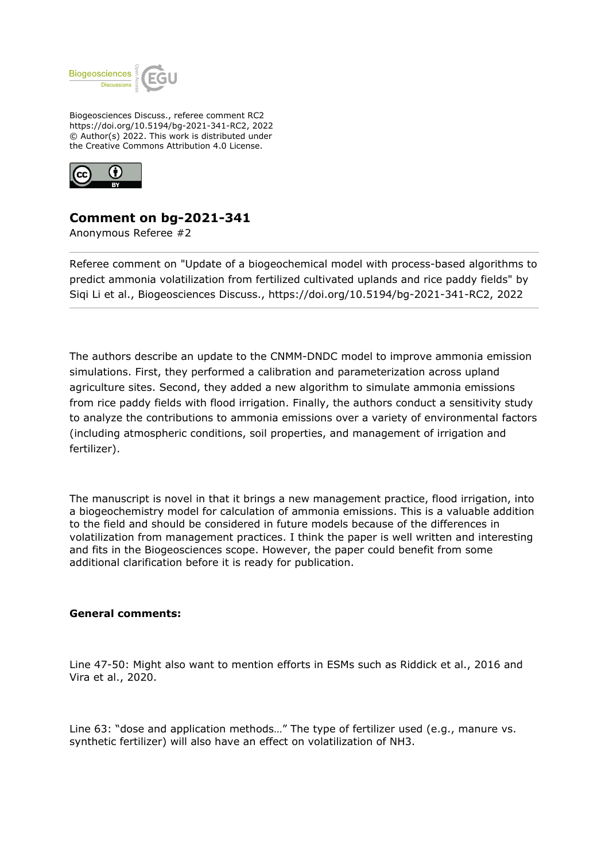

Biogeosciences Discuss., referee comment RC2 https://doi.org/10.5194/bg-2021-341-RC2, 2022 © Author(s) 2022. This work is distributed under the Creative Commons Attribution 4.0 License.



## **Comment on bg-2021-341**

Anonymous Referee #2

Referee comment on "Update of a biogeochemical model with process-based algorithms to predict ammonia volatilization from fertilized cultivated uplands and rice paddy fields" by Siqi Li et al., Biogeosciences Discuss., https://doi.org/10.5194/bg-2021-341-RC2, 2022

The authors describe an update to the CNMM-DNDC model to improve ammonia emission simulations. First, they performed a calibration and parameterization across upland agriculture sites. Second, they added a new algorithm to simulate ammonia emissions from rice paddy fields with flood irrigation. Finally, the authors conduct a sensitivity study to analyze the contributions to ammonia emissions over a variety of environmental factors (including atmospheric conditions, soil properties, and management of irrigation and fertilizer).

The manuscript is novel in that it brings a new management practice, flood irrigation, into a biogeochemistry model for calculation of ammonia emissions. This is a valuable addition to the field and should be considered in future models because of the differences in volatilization from management practices. I think the paper is well written and interesting and fits in the Biogeosciences scope. However, the paper could benefit from some additional clarification before it is ready for publication.

## **General comments:**

Line 47-50: Might also want to mention efforts in ESMs such as Riddick et al., 2016 and Vira et al., 2020.

Line 63: "dose and application methods…" The type of fertilizer used (e.g., manure vs. synthetic fertilizer) will also have an effect on volatilization of NH3.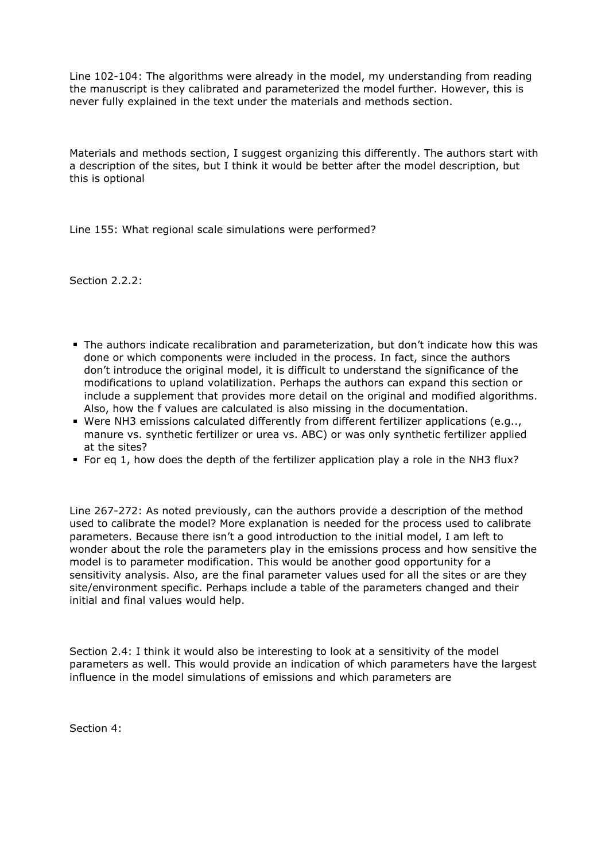Line 102-104: The algorithms were already in the model, my understanding from reading the manuscript is they calibrated and parameterized the model further. However, this is never fully explained in the text under the materials and methods section.

Materials and methods section, I suggest organizing this differently. The authors start with a description of the sites, but I think it would be better after the model description, but this is optional

Line 155: What regional scale simulations were performed?

Section 2.2.2:

- The authors indicate recalibration and parameterization, but don't indicate how this was done or which components were included in the process. In fact, since the authors don't introduce the original model, it is difficult to understand the significance of the modifications to upland volatilization. Perhaps the authors can expand this section or include a supplement that provides more detail on the original and modified algorithms. Also, how the f values are calculated is also missing in the documentation.
- Were NH3 emissions calculated differently from different fertilizer applications (e.g.., manure vs. synthetic fertilizer or urea vs. ABC) or was only synthetic fertilizer applied at the sites?
- For eq 1, how does the depth of the fertilizer application play a role in the NH3 flux?

Line 267-272: As noted previously, can the authors provide a description of the method used to calibrate the model? More explanation is needed for the process used to calibrate parameters. Because there isn't a good introduction to the initial model, I am left to wonder about the role the parameters play in the emissions process and how sensitive the model is to parameter modification. This would be another good opportunity for a sensitivity analysis. Also, are the final parameter values used for all the sites or are they site/environment specific. Perhaps include a table of the parameters changed and their initial and final values would help.

Section 2.4: I think it would also be interesting to look at a sensitivity of the model parameters as well. This would provide an indication of which parameters have the largest influence in the model simulations of emissions and which parameters are

Section 4: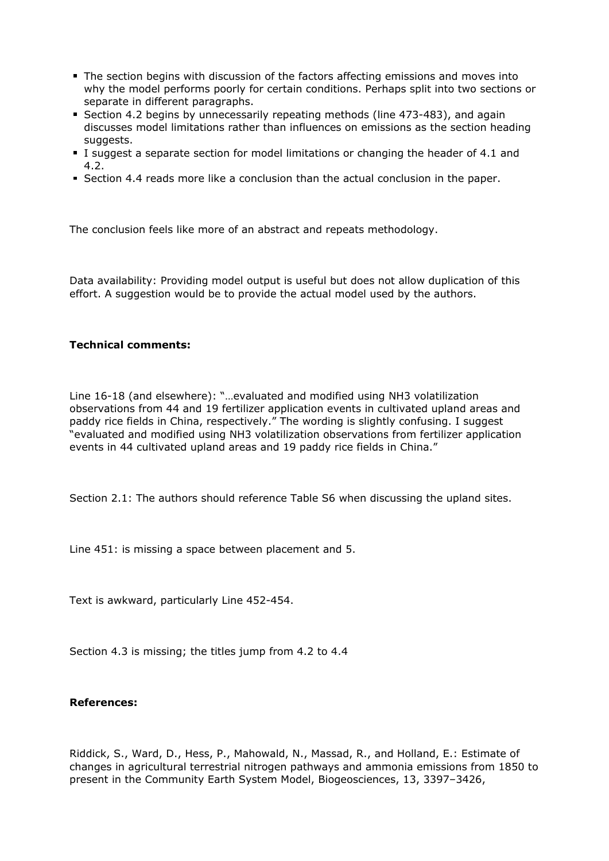- The section begins with discussion of the factors affecting emissions and moves into why the model performs poorly for certain conditions. Perhaps split into two sections or separate in different paragraphs.
- Section 4.2 begins by unnecessarily repeating methods (line 473-483), and again discusses model limitations rather than influences on emissions as the section heading suggests.
- I suggest a separate section for model limitations or changing the header of 4.1 and 4.2.
- Section 4.4 reads more like a conclusion than the actual conclusion in the paper.

The conclusion feels like more of an abstract and repeats methodology.

Data availability: Providing model output is useful but does not allow duplication of this effort. A suggestion would be to provide the actual model used by the authors.

## **Technical comments:**

Line 16-18 (and elsewhere): "…evaluated and modified using NH3 volatilization observations from 44 and 19 fertilizer application events in cultivated upland areas and paddy rice fields in China, respectively." The wording is slightly confusing. I suggest "evaluated and modified using NH3 volatilization observations from fertilizer application events in 44 cultivated upland areas and 19 paddy rice fields in China."

Section 2.1: The authors should reference Table S6 when discussing the upland sites.

Line 451: is missing a space between placement and 5.

Text is awkward, particularly Line 452-454.

Section 4.3 is missing; the titles jump from 4.2 to 4.4

## **References:**

Riddick, S., Ward, D., Hess, P., Mahowald, N., Massad, R., and Holland, E.: Estimate of changes in agricultural terrestrial nitrogen pathways and ammonia emissions from 1850 to present in the Community Earth System Model, Biogeosciences, 13, 3397–3426,